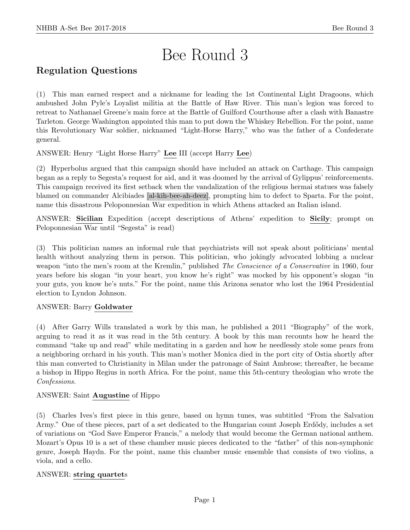# Bee Round 3

## Regulation Questions

(1) This man earned respect and a nickname for leading the 1st Continental Light Dragoons, which ambushed John Pyle's Loyalist militia at the Battle of Haw River. This man's legion was forced to retreat to Nathanael Greene's main force at the Battle of Guilford Courthouse after a clash with Banastre Tarleton. George Washington appointed this man to put down the Whiskey Rebellion. For the point, name this Revolutionary War soldier, nicknamed "Light-Horse Harry," who was the father of a Confederate general.

ANSWER: Henry "Light Horse Harry" Lee III (accept Harry Lee)

(2) Hyperbolus argued that this campaign should have included an attack on Carthage. This campaign began as a reply to Segesta's request for aid, and it was doomed by the arrival of Gylippus' reinforcements. This campaign received its first setback when the vandalization of the religious hermai statues was falsely blamed on commander Alcibiades [al-kih-bee-ah-deez], prompting him to defect to Sparta. For the point, name this disastrous Peloponnesian War expedition in which Athens attacked an Italian island.

ANSWER: Sicilian Expedition (accept descriptions of Athens' expedition to Sicily; prompt on Peloponnesian War until "Segesta" is read)

(3) This politician names an informal rule that psychiatrists will not speak about politicians' mental health without analyzing them in person. This politician, who jokingly advocated lobbing a nuclear weapon "into the men's room at the Kremlin," published *The Conscience of a Conservative* in 1960, four years before his slogan "in your heart, you know he's right" was mocked by his opponent's slogan "in your guts, you know he's nuts." For the point, name this Arizona senator who lost the 1964 Presidential election to Lyndon Johnson.

#### ANSWER: Barry Goldwater

(4) After Garry Wills translated a work by this man, he published a 2011 "Biography" of the work, arguing to read it as it was read in the 5th century. A book by this man recounts how he heard the command "take up and read" while meditating in a garden and how he needlessly stole some pears from a neighboring orchard in his youth. This man's mother Monica died in the port city of Ostia shortly after this man converted to Christianity in Milan under the patronage of Saint Ambrose; thereafter, he became a bishop in Hippo Regius in north Africa. For the point, name this 5th-century theologian who wrote the Confessions.

#### ANSWER: Saint Augustine of Hippo

(5) Charles Ives's first piece in this genre, based on hymn tunes, was subtitled "From the Salvation Army." One of these pieces, part of a set dedicated to the Hungarian count Joseph Erdődy, includes a set of variations on "God Save Emperor Francis," a melody that would become the German national anthem. Mozart's Opus 10 is a set of these chamber music pieces dedicated to the "father" of this non-symphonic genre, Joseph Haydn. For the point, name this chamber music ensemble that consists of two violins, a viola, and a cello.

#### ANSWER: string quartets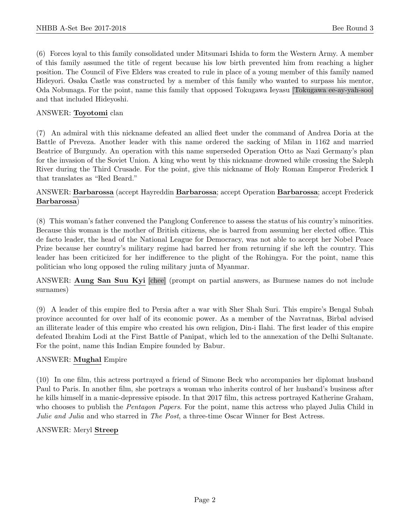(6) Forces loyal to this family consolidated under Mitsunari Ishida to form the Western Army. A member of this family assumed the title of regent because his low birth prevented him from reaching a higher position. The Council of Five Elders was created to rule in place of a young member of this family named Hideyori. Osaka Castle was constructed by a member of this family who wanted to surpass his mentor, Oda Nobunaga. For the point, name this family that opposed Tokugawa Ieyasu [Tokugawa ee-ay-yah-soo] and that included Hideyoshi.

#### ANSWER: Toyotomi clan

(7) An admiral with this nickname defeated an allied fleet under the command of Andrea Doria at the Battle of Preveza. Another leader with this name ordered the sacking of Milan in 1162 and married Beatrice of Burgundy. An operation with this name superseded Operation Otto as Nazi Germany's plan for the invasion of the Soviet Union. A king who went by this nickname drowned while crossing the Saleph River during the Third Crusade. For the point, give this nickname of Holy Roman Emperor Frederick I that translates as "Red Beard."

#### ANSWER: Barbarossa (accept Hayreddin Barbarossa; accept Operation Barbarossa; accept Frederick Barbarossa)

(8) This woman's father convened the Panglong Conference to assess the status of his country's minorities. Because this woman is the mother of British citizens, she is barred from assuming her elected office. This de facto leader, the head of the National League for Democracy, was not able to accept her Nobel Peace Prize because her country's military regime had barred her from returning if she left the country. This leader has been criticized for her indifference to the plight of the Rohingya. For the point, name this politician who long opposed the ruling military junta of Myanmar.

ANSWER: Aung San Suu Kyi [chee] (prompt on partial answers, as Burmese names do not include surnames)

(9) A leader of this empire fled to Persia after a war with Sher Shah Suri. This empire's Bengal Subah province accounted for over half of its economic power. As a member of the Navratnas, Birbal advised an illiterate leader of this empire who created his own religion, Din-i Ilahi. The first leader of this empire defeated Ibrahim Lodi at the First Battle of Panipat, which led to the annexation of the Delhi Sultanate. For the point, name this Indian Empire founded by Babur.

#### ANSWER: Mughal Empire

(10) In one film, this actress portrayed a friend of Simone Beck who accompanies her diplomat husband Paul to Paris. In another film, she portrays a woman who inherits control of her husband's business after he kills himself in a manic-depressive episode. In that 2017 film, this actress portrayed Katherine Graham, who chooses to publish the *Pentagon Papers*. For the point, name this actress who played Julia Child in Julie and Julia and who starred in The Post, a three-time Oscar Winner for Best Actress.

#### ANSWER: Meryl Streep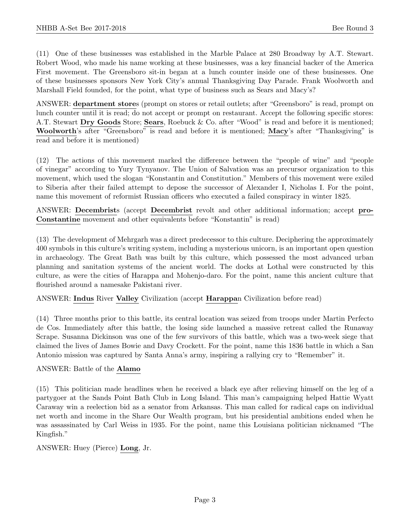(11) One of these businesses was established in the Marble Palace at 280 Broadway by A.T. Stewart. Robert Wood, who made his name working at these businesses, was a key financial backer of the America First movement. The Greensboro sit-in began at a lunch counter inside one of these businesses. One of these businesses sponsors New York City's annual Thanksgiving Day Parade. Frank Woolworth and Marshall Field founded, for the point, what type of business such as Sears and Macy's?

ANSWER: department stores (prompt on stores or retail outlets; after "Greensboro" is read, prompt on lunch counter until it is read; do not accept or prompt on restaurant. Accept the following specific stores: A.T. Stewart Dry Goods Store; Sears, Roebuck & Co. after "Wood" is read and before it is mentioned; Woolworth's after "Greensboro" is read and before it is mentioned; Macy's after "Thanksgiving" is read and before it is mentioned)

(12) The actions of this movement marked the difference between the "people of wine" and "people of vinegar" according to Yury Tynyanov. The Union of Salvation was an precursor organization to this movement, which used the slogan "Konstantin and Constitution." Members of this movement were exiled to Siberia after their failed attempt to depose the successor of Alexander I, Nicholas I. For the point, name this movement of reformist Russian officers who executed a failed conspiracy in winter 1825.

ANSWER: Decembrists (accept Decembrist revolt and other additional information; accept pro-Constantine movement and other equivalents before "Konstantin" is read)

(13) The development of Mehrgarh was a direct predecessor to this culture. Deciphering the approximately 400 symbols in this culture's writing system, including a mysterious unicorn, is an important open question in archaeology. The Great Bath was built by this culture, which possessed the most advanced urban planning and sanitation systems of the ancient world. The docks at Lothal were constructed by this culture, as were the cities of Harappa and Mohenjo-daro. For the point, name this ancient culture that flourished around a namesake Pakistani river.

ANSWER: Indus River Valley Civilization (accept Harappan Civilization before read)

(14) Three months prior to this battle, its central location was seized from troops under Martin Perfecto de Cos. Immediately after this battle, the losing side launched a massive retreat called the Runaway Scrape. Susanna Dickinson was one of the few survivors of this battle, which was a two-week siege that claimed the lives of James Bowie and Davy Crockett. For the point, name this 1836 battle in which a San Antonio mission was captured by Santa Anna's army, inspiring a rallying cry to "Remember" it.

#### ANSWER: Battle of the Alamo

(15) This politician made headlines when he received a black eye after relieving himself on the leg of a partygoer at the Sands Point Bath Club in Long Island. This man's campaigning helped Hattie Wyatt Caraway win a reelection bid as a senator from Arkansas. This man called for radical caps on individual net worth and income in the Share Our Wealth program, but his presidential ambitions ended when he was assassinated by Carl Weiss in 1935. For the point, name this Louisiana politician nicknamed "The Kingfish."

#### ANSWER: Huey (Pierce) Long, Jr.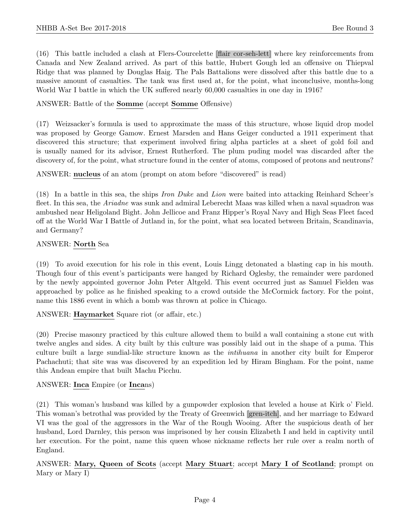(16) This battle included a clash at Flers-Courcelette [flair cor-seh-lett] where key reinforcements from Canada and New Zealand arrived. As part of this battle, Hubert Gough led an offensive on Thiepval Ridge that was planned by Douglas Haig. The Pals Battalions were dissolved after this battle due to a massive amount of casualties. The tank was first used at, for the point, what inconclusive, months-long World War I battle in which the UK suffered nearly 60,000 casualties in one day in 1916?

#### ANSWER: Battle of the Somme (accept Somme Offensive)

(17) Weizsacker's formula is used to approximate the mass of this structure, whose liquid drop model was proposed by George Gamow. Ernest Marsden and Hans Geiger conducted a 1911 experiment that discovered this structure; that experiment involved firing alpha particles at a sheet of gold foil and is usually named for its advisor, Ernest Rutherford. The plum puding model was discarded after the discovery of, for the point, what structure found in the center of atoms, composed of protons and neutrons?

ANSWER: nucleus of an atom (prompt on atom before "discovered" is read)

(18) In a battle in this sea, the ships Iron Duke and Lion were baited into attacking Reinhard Scheer's fleet. In this sea, the *Ariadne* was sunk and admiral Leberecht Maas was killed when a naval squadron was ambushed near Heligoland Bight. John Jellicoe and Franz Hipper's Royal Navy and High Seas Fleet faced off at the World War I Battle of Jutland in, for the point, what sea located between Britain, Scandinavia, and Germany?

#### ANSWER: North Sea

(19) To avoid execution for his role in this event, Louis Lingg detonated a blasting cap in his mouth. Though four of this event's participants were hanged by Richard Oglesby, the remainder were pardoned by the newly appointed governor John Peter Altgeld. This event occurred just as Samuel Fielden was approached by police as he finished speaking to a crowd outside the McCormick factory. For the point, name this 1886 event in which a bomb was thrown at police in Chicago.

ANSWER: Haymarket Square riot (or affair, etc.)

(20) Precise masonry practiced by this culture allowed them to build a wall containing a stone cut with twelve angles and sides. A city built by this culture was possibly laid out in the shape of a puma. This culture built a large sundial-like structure known as the intihuana in another city built for Emperor Pachachuti; that site was was discovered by an expedition led by Hiram Bingham. For the point, name this Andean empire that built Machu Picchu.

#### ANSWER: Inca Empire (or Incans)

(21) This woman's husband was killed by a gunpowder explosion that leveled a house at Kirk o' Field. This woman's betrothal was provided by the Treaty of Greenwich [gren-itch], and her marriage to Edward VI was the goal of the aggressors in the War of the Rough Wooing. After the suspicious death of her husband, Lord Darnley, this person was imprisoned by her cousin Elizabeth I and held in captivity until her execution. For the point, name this queen whose nickname reflects her rule over a realm north of England.

#### ANSWER: Mary, Queen of Scots (accept Mary Stuart; accept Mary I of Scotland; prompt on Mary or Mary I)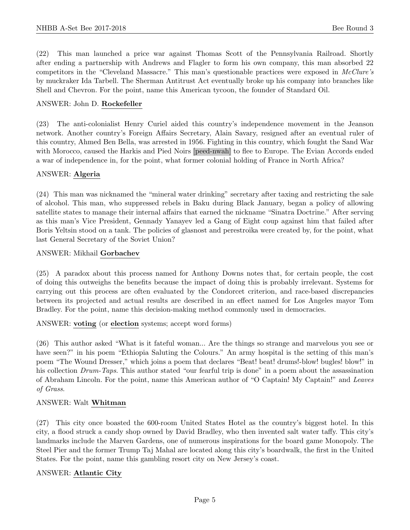(22) This man launched a price war against Thomas Scott of the Pennsylvania Railroad. Shortly after ending a partnership with Andrews and Flagler to form his own company, this man absorbed 22 competitors in the "Cleveland Massacre." This man's questionable practices were exposed in McClure's by muckraker Ida Tarbell. The Sherman Antitrust Act eventually broke up his company into branches like Shell and Chevron. For the point, name this American tycoon, the founder of Standard Oil.

#### ANSWER: John D. Rockefeller

(23) The anti-colonialist Henry Curiel aided this country's independence movement in the Jeanson network. Another country's Foreign Affairs Secretary, Alain Savary, resigned after an eventual ruler of this country, Ahmed Ben Bella, was arrested in 1956. Fighting in this country, which fought the Sand War with Morocco, caused the Harkis and Pied Noirs [peed-nwah] to flee to Europe. The Evian Accords ended a war of independence in, for the point, what former colonial holding of France in North Africa?

#### ANSWER: Algeria

(24) This man was nicknamed the "mineral water drinking" secretary after taxing and restricting the sale of alcohol. This man, who suppressed rebels in Baku during Black January, began a policy of allowing satellite states to manage their internal affairs that earned the nickname "Sinatra Doctrine." After serving as this man's Vice President, Gennady Yanayev led a Gang of Eight coup against him that failed after Boris Yeltsin stood on a tank. The policies of glasnost and perestroika were created by, for the point, what last General Secretary of the Soviet Union?

#### ANSWER: Mikhail Gorbachev

(25) A paradox about this process named for Anthony Downs notes that, for certain people, the cost of doing this outweighs the benefits because the impact of doing this is probably irrelevant. Systems for carrying out this process are often evaluated by the Condorcet criterion, and race-based discrepancies between its projected and actual results are described in an effect named for Los Angeles mayor Tom Bradley. For the point, name this decision-making method commonly used in democracies.

ANSWER: voting (or election systems; accept word forms)

(26) This author asked "What is it fateful woman... Are the things so strange and marvelous you see or have seen?" in his poem "Ethiopia Saluting the Colours." An army hospital is the setting of this man's poem "The Wound Dresser," which joins a poem that declares "Beat! beat! drums!-blow! bugles! blow!" in his collection Drum-Taps. This author stated "our fearful trip is done" in a poem about the assassination of Abraham Lincoln. For the point, name this American author of "O Captain! My Captain!" and Leaves of Grass.

#### ANSWER: Walt Whitman

(27) This city once boasted the 600-room United States Hotel as the country's biggest hotel. In this city, a flood struck a candy shop owned by David Bradley, who then invented salt water taffy. This city's landmarks include the Marven Gardens, one of numerous inspirations for the board game Monopoly. The Steel Pier and the former Trump Taj Mahal are located along this city's boardwalk, the first in the United States. For the point, name this gambling resort city on New Jersey's coast.

#### ANSWER: Atlantic City